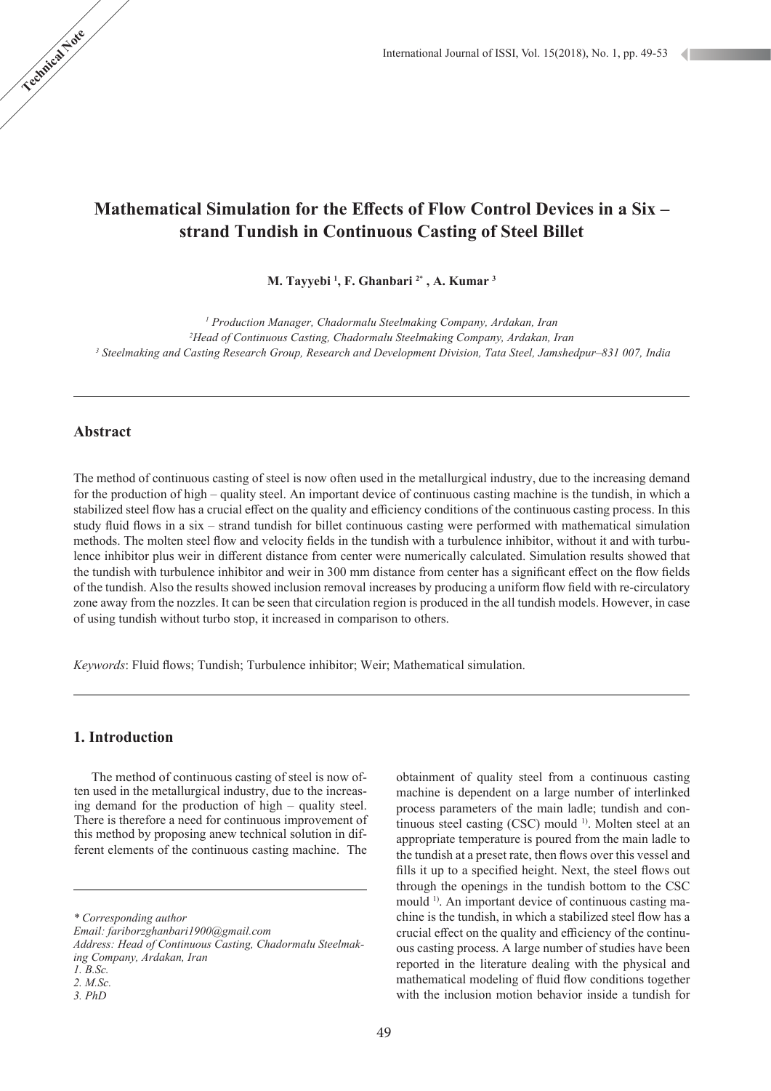# **Mathematical Simulation for the Effects of Flow Control Devices in a Six – strand Tundish in Continuous Casting of Steel Billet**

#### **M. Tayyebi <sup>1</sup> , F. Ghanbari <sup>2</sup>**\*  **, A. Kumar 3**

<sup>1</sup> Production Manager, Chadormalu Steelmaking Company, Ardakan, Iran

*2 Head of Continuous Casting, Chadormalu Steelmaking Company, Ardakan, Iran*

*3 Steelmaking and Casting Research Group, Research and Development Division, Tata Steel, Jamshedpur–831 007, India*

## **Abstract**

The method of continuous casting of steel is now often used in the metallurgical industry, due to the increasing demand for the production of high – quality steel. An important device of continuous casting machine is the tundish, in which a stabilized steel flow has a crucial effect on the quality and efficiency conditions of the continuous casting process. In this study fluid flows in a six – strand tundish for billet continuous casting were performed with mathematical simulation methods. The molten steel flow and velocity fields in the tundish with a turbulence inhibitor, without it and with turbulence inhibitor plus weir in different distance from center were numerically calculated. Simulation results showed that the tundish with turbulence inhibitor and weir in 300 mm distance from center has a significant effect on the flow fields of the tundish. Also the results showed inclusion removal increases by producing a uniform flow field with re-circulatory zone away from the nozzles. It can be seen that circulation region is produced in the all tundish models. However, in case of using tundish without turbo stop, it increased in comparison to others.

*Keywords*: Fluid flows; Tundish; Turbulence inhibitor; Weir; Mathematical simulation.

## **1. Introduction**

 The method of continuous casting of steel is now often used in the metallurgical industry, due to the increasing demand for the production of high – quality steel. There is therefore a need for continuous improvement of this method by proposing anew technical solution in different elements of the continuous casting machine. The

*Address: Head of Continuous Casting, Chadormalu Steelmaking Company, Ardakan, Iran* 

obtainment of quality steel from a continuous casting machine is dependent on a large number of interlinked process parameters of the main ladle; tundish and continuous steel casting (CSC) mould <sup>1)</sup>. Molten steel at an appropriate temperature is poured from the main ladle to the tundish at a preset rate, then flows over this vessel and fills it up to a specified height. Next, the steel flows out through the openings in the tundish bottom to the CSC mould 1). An important device of continuous casting machine is the tundish, in which a stabilized steel flow has a crucial effect on the quality and efficiency of the continuous casting process. A large number of studies have been reported in the literature dealing with the physical and mathematical modeling of fluid flow conditions together with the inclusion motion behavior inside a tundish for

*<sup>\*</sup> Corresponding author*

*Email: fariborzghanbari1900@gmail.com*

*<sup>1.</sup> B.Sc. 2. M.Sc.*

*<sup>3.</sup> PhD*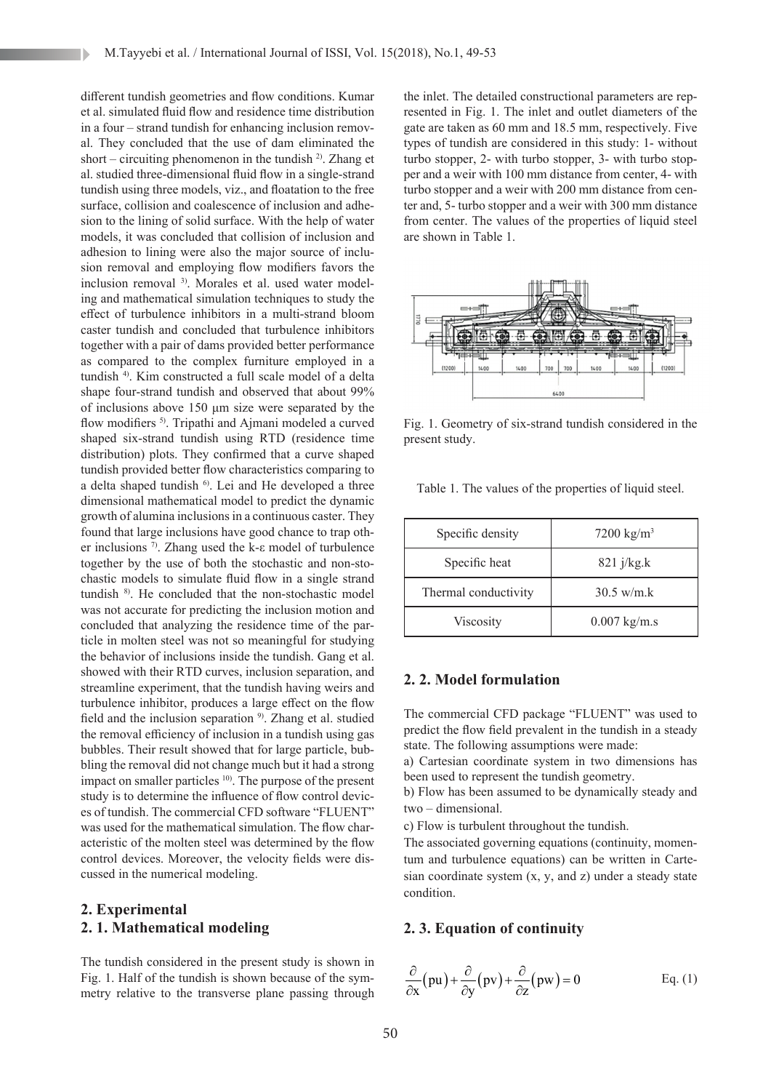different tundish geometries and flow conditions. Kumar et al. simulated fluid flow and residence time distribution in a four – strand tundish for enhancing inclusion removal. They concluded that the use of dam eliminated the short – circuiting phenomenon in the tundish  $^{2}$ . Zhang et al. studied three-dimensional fluid flow in a single-strand tundish using three models, viz., and floatation to the free surface, collision and coalescence of inclusion and adhesion to the lining of solid surface. With the help of water models, it was concluded that collision of inclusion and adhesion to lining were also the major source of inclusion removal and employing flow modifiers favors the inclusion removal <sup>3)</sup>. Morales et al. used water modeling and mathematical simulation techniques to study the effect of turbulence inhibitors in a multi-strand bloom caster tundish and concluded that turbulence inhibitors together with a pair of dams provided better performance as compared to the complex furniture employed in a tundish 4). Kim constructed a full scale model of a delta shape four-strand tundish and observed that about 99% of inclusions above 150 μm size were separated by the flow modifiers <sup>5)</sup>. Tripathi and Ajmani modeled a curved shaped six-strand tundish using RTD (residence time distribution) plots. They confirmed that a curve shaped tundish provided better flow characteristics comparing to a delta shaped tundish <sup>6)</sup>. Lei and He developed a three dimensional mathematical model to predict the dynamic growth of alumina inclusions in a continuous caster. They found that large inclusions have good chance to trap other inclusions 7). Zhang used the k-ε model of turbulence together by the use of both the stochastic and non-stochastic models to simulate fluid flow in a single strand tundish <sup>8)</sup>. He concluded that the non-stochastic model was not accurate for predicting the inclusion motion and concluded that analyzing the residence time of the particle in molten steel was not so meaningful for studying the behavior of inclusions inside the tundish. Gang et al. showed with their RTD curves, inclusion separation, and streamline experiment, that the tundish having weirs and turbulence inhibitor, produces a large effect on the flow field and the inclusion separation <sup>9)</sup>. Zhang et al. studied the removal efficiency of inclusion in a tundish using gas bubbles. Their result showed that for large particle, bubbling the removal did not change much but it had a strong impact on smaller particles <sup>10</sup>. The purpose of the present study is to determine the influence of flow control devices of tundish. The commercial CFD software "FLUENT" was used for the mathematical simulation. The flow characteristic of the molten steel was determined by the flow control devices. Moreover, the velocity fields were discussed in the numerical modeling.

## **2. Experimental 2. 1. Mathematical modeling**

The tundish considered in the present study is shown in Fig. 1. Half of the tundish is shown because of the symmetry relative to the transverse plane passing through

the inlet. The detailed constructional parameters are represented in Fig. 1. The inlet and outlet diameters of the gate are taken as 60 mm and 18.5 mm, respectively. Five types of tundish are considered in this study: 1- without turbo stopper, 2- with turbo stopper, 3- with turbo stopper and a weir with 100 mm distance from center, 4- with turbo stopper and a weir with 200 mm distance from center and, 5- turbo stopper and a weir with 300 mm distance from center. The values of the properties of liquid steel are shown in Table 1.



Fig. 1. Geometry of six-strand tundish considered in the present study.

Table 1. The values of the properties of liquid steel.

| Specific density     | $7200 \text{ kg/m}^3$  |
|----------------------|------------------------|
| Specific heat        | $821$ j/kg.k           |
| Thermal conductivity | $30.5 \text{ w/m.k}$   |
| Viscosity            | $0.007 \text{ kg/m.s}$ |

## **2. 2. Model formulation**

The commercial CFD package "FLUENT" was used to predict the flow field prevalent in the tundish in a steady state. The following assumptions were made:

a) Cartesian coordinate system in two dimensions has been used to represent the tundish geometry.

b) Flow has been assumed to be dynamically steady and two – dimensional.

c) Flow is turbulent throughout the tundish.

The associated governing equations (continuity, momentum and turbulence equations) can be written in Cartesian coordinate system  $(x, y, and z)$  under a steady state condition.

### **2. 3. Equation of continuity**

$$
\frac{\partial}{\partial x}(pu) + \frac{\partial}{\partial y}(pv) + \frac{\partial}{\partial z}(pw) = 0
$$
 Eq. (1)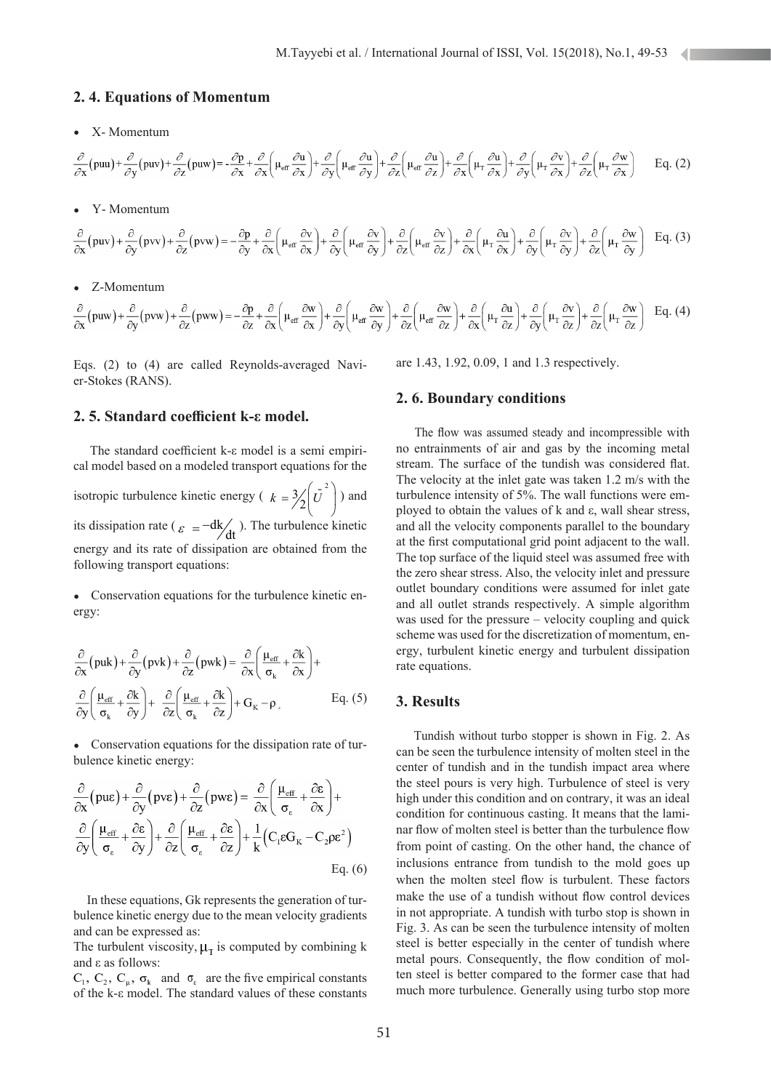#### **2. 4. Equations of Momentum**

• X- Momentum

$$
\frac{\partial}{\partial x}(puu) + \frac{\partial}{\partial y}(puv) + \frac{\partial}{\partial z}(puw) = -\frac{\partial p}{\partial x} + \frac{\partial}{\partial x}\left(\mu_{\text{eff}}\frac{\partial u}{\partial x}\right) + \frac{\partial}{\partial y}\left(\mu_{\text{eff}}\frac{\partial u}{\partial y}\right) + \frac{\partial}{\partial z}\left(\mu_{\text{eff}}\frac{\partial u}{\partial z}\right) + \frac{\partial}{\partial x}\left(\mu_{\text{T}}\frac{\partial u}{\partial x}\right) + \frac{\partial}{\partial y}\left(\mu_{\text{T}}\frac{\partial v}{\partial x}\right) + \frac{\partial}{\partial z}\left(\mu_{\text{T}}\frac{\partial v}{\partial x}\right) = Eq. (2)
$$

• Y- Momentum

$$
\frac{\partial}{\partial x}(puv) + \frac{\partial}{\partial y}(pvv) + \frac{\partial}{\partial z}(pvw) = -\frac{\partial p}{\partial y} + \frac{\partial}{\partial x}\left(\mu_{eff} \frac{\partial v}{\partial x}\right) + \frac{\partial}{\partial y}\left(\mu_{eff} \frac{\partial v}{\partial y}\right) + \frac{\partial}{\partial z}\left(\mu_{eff} \frac{\partial v}{\partial z}\right) + \frac{\partial}{\partial x}\left(\mu_{T} \frac{\partial u}{\partial x}\right) + \frac{\partial}{\partial y}\left(\mu_{T} \frac{\partial v}{\partial y}\right) + \frac{\partial}{\partial z}\left(\mu_{T} \frac{\partial w}{\partial y}\right)
$$
 Eq. (3)

#### • Z-Momentum

$$
\frac{\partial}{\partial x}\left(puw\right) + \frac{\partial}{\partial y}\left(pvw\right) + \frac{\partial}{\partial z}\left(pww\right) = -\frac{\partial p}{\partial z} + \frac{\partial}{\partial x}\left(\mu_{\text{eff}}\frac{\partial w}{\partial x}\right) + \frac{\partial}{\partial y}\left(\mu_{\text{eff}}\frac{\partial w}{\partial y}\right) + \frac{\partial}{\partial z}\left(\mu_{\text{eff}}\frac{\partial w}{\partial z}\right) + \frac{\partial}{\partial x}\left(\mu_{\text{T}}\frac{\partial u}{\partial z}\right) + \frac{\partial}{\partial y}\left(\mu_{\text{T}}\frac{\partial w}{\partial z}\right) + \frac{\partial}{\partial z}\left(\mu_{\text{T}}\frac{\partial w}{\partial z}\right) = \text{Eq. (4)}
$$

Eqs. (2) to (4) are called Reynolds-averaged Navier-Stokes (RANS).

## **2. 5. Standard coefficient k-ε model.**

 The standard coefficient k-ε model is a semi empirical model based on a modeled transport equations for the isotropic turbulence kinetic energy ( $k = \frac{3}{2} \left(\overline{U}^2\right)$ ) and its dissipation rate ( $\varepsilon = -dk/dt$ ). The turbulence kinetic energy and its rate of dissipation are obtained from the following transport equations:

• Conservation equations for the turbulence kinetic energy:

$$
\frac{\partial}{\partial x} \left( \text{puk} \right) + \frac{\partial}{\partial y} \left( \text{pvk} \right) + \frac{\partial}{\partial z} \left( \text{pwk} \right) = \frac{\partial}{\partial x} \left( \frac{\mu_{\text{eff}}}{\sigma_k} + \frac{\partial k}{\partial x} \right) +
$$

$$
\frac{\partial}{\partial y} \left( \frac{\mu_{\text{eff}}}{\sigma_k} + \frac{\partial k}{\partial y} \right) + \frac{\partial}{\partial z} \left( \frac{\mu_{\text{eff}}}{\sigma_k} + \frac{\partial k}{\partial z} \right) + G_K - \rho, \qquad \text{Eq. (5)}
$$

• Conservation equations for the dissipation rate of turbulence kinetic energy:

$$
\frac{\partial}{\partial x} \left( \text{pue} \right) + \frac{\partial}{\partial y} \left( \text{pve} \right) + \frac{\partial}{\partial z} \left( \text{pwe} \right) = \frac{\partial}{\partial x} \left( \frac{\mu_{\text{eff}}}{\sigma_{\epsilon}} + \frac{\partial \epsilon}{\partial x} \right) + \n\frac{\partial}{\partial y} \left( \frac{\mu_{\text{eff}}}{\sigma_{\epsilon}} + \frac{\partial \epsilon}{\partial y} \right) + \frac{\partial}{\partial z} \left( \frac{\mu_{\text{eff}}}{\sigma_{\epsilon}} + \frac{\partial \epsilon}{\partial z} \right) + \frac{1}{k} \left( C_1 \epsilon G_K - C_2 \rho \epsilon^2 \right) \n\text{Eq. (6)}
$$

 In these equations, Gk represents the generation of turbulence kinetic energy due to the mean velocity gradients and can be expressed as:

The turbulent viscosity,  $\mu_{\rm T}$  is computed by combining k and ε as follows:

 $C_1, C_2, C_\mu, \sigma_k$  and  $\sigma_k$  are the five empirical constants of the k-ε model. The standard values of these constants are 1.43, 1.92, 0.09, 1 and 1.3 respectively.

#### **2. 6. Boundary conditions**

 The flow was assumed steady and incompressible with no entrainments of air and gas by the incoming metal stream. The surface of the tundish was considered flat. The velocity at the inlet gate was taken 1.2 m/s with the turbulence intensity of 5%. The wall functions were employed to obtain the values of k and ε, wall shear stress, and all the velocity components parallel to the boundary at the first computational grid point adjacent to the wall. The top surface of the liquid steel was assumed free with the zero shear stress. Also, the velocity inlet and pressure outlet boundary conditions were assumed for inlet gate and all outlet strands respectively. A simple algorithm was used for the pressure – velocity coupling and quick scheme was used for the discretization of momentum, energy, turbulent kinetic energy and turbulent dissipation rate equations.

#### **3. Results**

 Tundish without turbo stopper is shown in Fig. 2. As can be seen the turbulence intensity of molten steel in the center of tundish and in the tundish impact area where the steel pours is very high. Turbulence of steel is very high under this condition and on contrary, it was an ideal condition for continuous casting. It means that the laminar flow of molten steel is better than the turbulence flow from point of casting. On the other hand, the chance of inclusions entrance from tundish to the mold goes up when the molten steel flow is turbulent. These factors make the use of a tundish without flow control devices in not appropriate. A tundish with turbo stop is shown in Fig. 3. As can be seen the turbulence intensity of molten steel is better especially in the center of tundish where metal pours. Consequently, the flow condition of molten steel is better compared to the former case that had much more turbulence. Generally using turbo stop more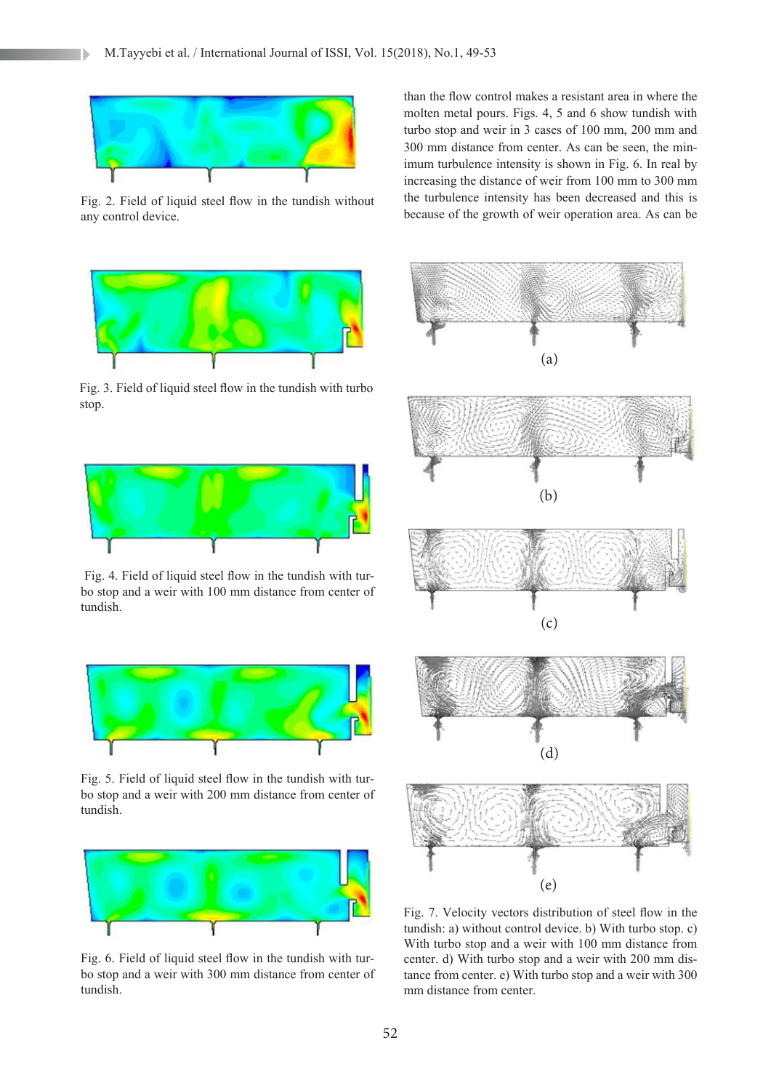

Fig. 2. Field of liquid steel flow in the tundish without any control device.



Fig. 3. Field of liquid steel flow in the tundish with turbo stop.



 Fig. 4. Field of liquid steel flow in the tundish with turbo stop and a weir with 100 mm distance from center of tundish.



Fig. 5. Field of liquid steel flow in the tundish with turbo stop and a weir with 200 mm distance from center of tundish.



Fig. 6. Field of liquid steel flow in the tundish with turbo stop and a weir with 300 mm distance from center of tundish.

than the flow control makes a resistant area in where the molten metal pours. Figs. 4, 5 and 6 show tundish with turbo stop and weir in 3 cases of 100 mm, 200 mm and 300 mm distance from center. As can be seen, the minimum turbulence intensity is shown in Fig. 6. In real by increasing the distance of weir from 100 mm to 300 mm the turbulence intensity has been decreased and this is because of the growth of weir operation area. As can be



Fig. 7. Velocity vectors distribution of steel flow in the tundish: a) without control device. b) With turbo stop. c) With turbo stop and a weir with 100 mm distance from center. d) With turbo stop and a weir with 200 mm distance from center. e) With turbo stop and a weir with 300 mm distance from center.